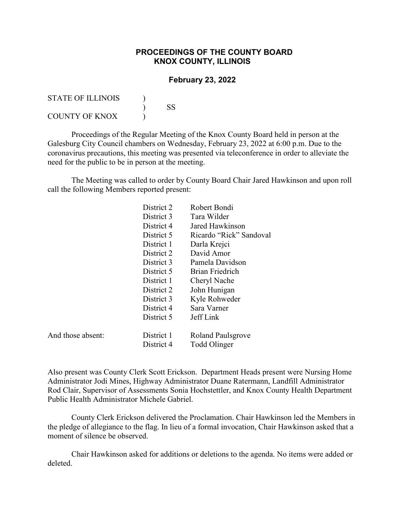## **PROCEEDINGS OF THE COUNTY BOARD KNOX COUNTY, ILLINOIS**

## **February 23, 2022**

| STATE OF ILLINOIS |    |
|-------------------|----|
|                   | SS |
| COUNTY OF KNOX    |    |

And those absent:

Proceedings of the Regular Meeting of the Knox County Board held in person at the Galesburg City Council chambers on Wednesday, February 23, 2022 at 6:00 p.m. Due to the coronavirus precautions, this meeting was presented via teleconference in order to alleviate the need for the public to be in person at the meeting.

The Meeting was called to order by County Board Chair Jared Hawkinson and upon roll call the following Members reported present:

| District 2 | Robert Bondi             |
|------------|--------------------------|
| District 3 | Tara Wilder              |
| District 4 | Jared Hawkinson          |
| District 5 | Ricardo "Rick" Sandoval  |
| District 1 | Darla Krejci             |
| District 2 | David Amor               |
| District 3 | Pamela Davidson          |
| District 5 | Brian Friedrich          |
| District 1 | Cheryl Nache             |
| District 2 | John Hunigan             |
| District 3 | Kyle Rohweder            |
| District 4 | Sara Varner              |
| District 5 | Jeff Link                |
|            |                          |
| District 1 | <b>Roland Paulsgrove</b> |
| District 4 | Todd Olinger             |

Also present was County Clerk Scott Erickson. Department Heads present were Nursing Home Administrator Jodi Mines, Highway Administrator Duane Ratermann, Landfill Administrator Rod Clair, Supervisor of Assessments Sonia Hochstettler, and Knox County Health Department Public Health Administrator Michele Gabriel.

County Clerk Erickson delivered the Proclamation. Chair Hawkinson led the Members in the pledge of allegiance to the flag. In lieu of a formal invocation, Chair Hawkinson asked that a moment of silence be observed.

Chair Hawkinson asked for additions or deletions to the agenda. No items were added or deleted.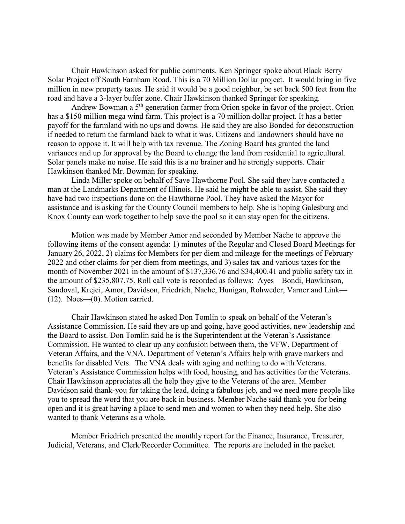Chair Hawkinson asked for public comments. Ken Springer spoke about Black Berry Solar Project off South Farnham Road. This is a 70 Million Dollar project. It would bring in five million in new property taxes. He said it would be a good neighbor, be set back 500 feet from the road and have a 3-layer buffer zone. Chair Hawkinson thanked Springer for speaking.

Andrew Bowman a 5th generation farmer from Orion spoke in favor of the project. Orion has a \$150 million mega wind farm. This project is a 70 million dollar project. It has a better payoff for the farmland with no ups and downs. He said they are also Bonded for deconstruction if needed to return the farmland back to what it was. Citizens and landowners should have no reason to oppose it. It will help with tax revenue. The Zoning Board has granted the land variances and up for approval by the Board to change the land from residential to agricultural. Solar panels make no noise. He said this is a no brainer and he strongly supports. Chair Hawkinson thanked Mr. Bowman for speaking.

Linda Miller spoke on behalf of Save Hawthorne Pool. She said they have contacted a man at the Landmarks Department of Illinois. He said he might be able to assist. She said they have had two inspections done on the Hawthorne Pool. They have asked the Mayor for assistance and is asking for the County Council members to help. She is hoping Galesburg and Knox County can work together to help save the pool so it can stay open for the citizens.

Motion was made by Member Amor and seconded by Member Nache to approve the following items of the consent agenda: 1) minutes of the Regular and Closed Board Meetings for January 26, 2022, 2) claims for Members for per diem and mileage for the meetings of February 2022 and other claims for per diem from meetings, and 3) sales tax and various taxes for the month of November 2021 in the amount of \$137,336.76 and \$34,400.41 and public safety tax in the amount of \$235,807.75. Roll call vote is recorded as follows: Ayes—Bondi, Hawkinson, Sandoval, Krejci, Amor, Davidson, Friedrich, Nache, Hunigan, Rohweder, Varner and Link— (12). Noes—(0). Motion carried.

Chair Hawkinson stated he asked Don Tomlin to speak on behalf of the Veteran's Assistance Commission. He said they are up and going, have good activities, new leadership and the Board to assist. Don Tomlin said he is the Superintendent at the Veteran's Assistance Commission. He wanted to clear up any confusion between them, the VFW, Department of Veteran Affairs, and the VNA. Department of Veteran's Affairs help with grave markers and benefits for disabled Vets. The VNA deals with aging and nothing to do with Veterans. Veteran's Assistance Commission helps with food, housing, and has activities for the Veterans. Chair Hawkinson appreciates all the help they give to the Veterans of the area. Member Davidson said thank-you for taking the lead, doing a fabulous job, and we need more people like you to spread the word that you are back in business. Member Nache said thank-you for being open and it is great having a place to send men and women to when they need help. She also wanted to thank Veterans as a whole.

Member Friedrich presented the monthly report for the Finance, Insurance, Treasurer, Judicial, Veterans, and Clerk/Recorder Committee. The reports are included in the packet.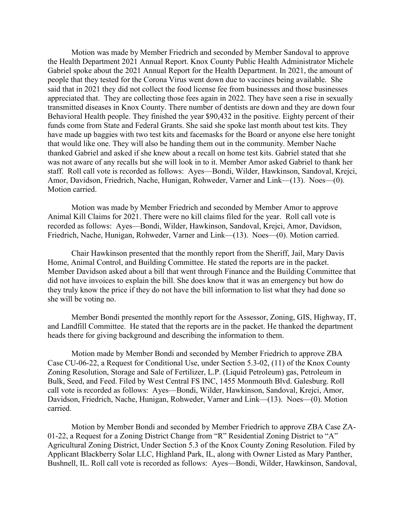Motion was made by Member Friedrich and seconded by Member Sandoval to approve the Health Department 2021 Annual Report. Knox County Public Health Administrator Michele Gabriel spoke about the 2021 Annual Report for the Health Department. In 2021, the amount of people that they tested for the Corona Virus went down due to vaccines being available. She said that in 2021 they did not collect the food license fee from businesses and those businesses appreciated that. They are collecting those fees again in 2022. They have seen a rise in sexually transmitted diseases in Knox County. There number of dentists are down and they are down four Behavioral Health people. They finished the year \$90,432 in the positive. Eighty percent of their funds come from State and Federal Grants. She said she spoke last month about test kits. They have made up baggies with two test kits and facemasks for the Board or anyone else here tonight that would like one. They will also be handing them out in the community. Member Nache thanked Gabriel and asked if she knew about a recall on home test kits. Gabriel stated that she was not aware of any recalls but she will look in to it. Member Amor asked Gabriel to thank her staff. Roll call vote is recorded as follows: Ayes—Bondi, Wilder, Hawkinson, Sandoval, Krejci, Amor, Davidson, Friedrich, Nache, Hunigan, Rohweder, Varner and Link—(13). Noes—(0). Motion carried.

Motion was made by Member Friedrich and seconded by Member Amor to approve Animal Kill Claims for 2021. There were no kill claims filed for the year. Roll call vote is recorded as follows: Ayes—Bondi, Wilder, Hawkinson, Sandoval, Krejci, Amor, Davidson, Friedrich, Nache, Hunigan, Rohweder, Varner and Link—(13). Noes—(0). Motion carried.

Chair Hawkinson presented that the monthly report from the Sheriff, Jail, Mary Davis Home, Animal Control, and Building Committee. He stated the reports are in the packet. Member Davidson asked about a bill that went through Finance and the Building Committee that did not have invoices to explain the bill. She does know that it was an emergency but how do they truly know the price if they do not have the bill information to list what they had done so she will be voting no.

Member Bondi presented the monthly report for the Assessor, Zoning, GIS, Highway, IT, and Landfill Committee. He stated that the reports are in the packet. He thanked the department heads there for giving background and describing the information to them.

Motion made by Member Bondi and seconded by Member Friedrich to approve ZBA Case CU-06-22, a Request for Conditional Use, under Section 5.3-02, (11) of the Knox County Zoning Resolution, Storage and Sale of Fertilizer, L.P. (Liquid Petroleum) gas, Petroleum in Bulk, Seed, and Feed. Filed by West Central FS INC, 1455 Monmouth Blvd. Galesburg. Roll call vote is recorded as follows: Ayes—Bondi, Wilder, Hawkinson, Sandoval, Krejci, Amor, Davidson, Friedrich, Nache, Hunigan, Rohweder, Varner and Link—(13). Noes—(0). Motion carried.

Motion by Member Bondi and seconded by Member Friedrich to approve ZBA Case ZA-01-22, a Request for a Zoning District Change from "R" Residential Zoning District to "A" Agricultural Zoning District, Under Section 5.3 of the Knox County Zoning Resolution. Filed by Applicant Blackberry Solar LLC, Highland Park, IL, along with Owner Listed as Mary Panther, Bushnell, IL. Roll call vote is recorded as follows: Ayes—Bondi, Wilder, Hawkinson, Sandoval,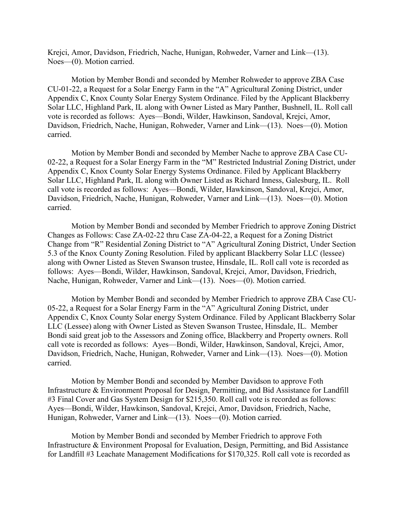Krejci, Amor, Davidson, Friedrich, Nache, Hunigan, Rohweder, Varner and Link—(13). Noes—(0). Motion carried.

Motion by Member Bondi and seconded by Member Rohweder to approve ZBA Case CU-01-22, a Request for a Solar Energy Farm in the "A" Agricultural Zoning District, under Appendix C, Knox County Solar Energy System Ordinance. Filed by the Applicant Blackberry Solar LLC, Highland Park, IL along with Owner Listed as Mary Panther, Bushnell, IL. Roll call vote is recorded as follows: Ayes—Bondi, Wilder, Hawkinson, Sandoval, Krejci, Amor, Davidson, Friedrich, Nache, Hunigan, Rohweder, Varner and Link—(13). Noes—(0). Motion carried.

Motion by Member Bondi and seconded by Member Nache to approve ZBA Case CU-02-22, a Request for a Solar Energy Farm in the "M" Restricted Industrial Zoning District, under Appendix C, Knox County Solar Energy Systems Ordinance. Filed by Applicant Blackberry Solar LLC, Highland Park, IL along with Owner Listed as Richard Inness, Galesburg, IL. Roll call vote is recorded as follows: Ayes—Bondi, Wilder, Hawkinson, Sandoval, Krejci, Amor, Davidson, Friedrich, Nache, Hunigan, Rohweder, Varner and Link—(13). Noes—(0). Motion carried.

Motion by Member Bondi and seconded by Member Friedrich to approve Zoning District Changes as Follows: Case ZA-02-22 thru Case ZA-04-22, a Request for a Zoning District Change from "R" Residential Zoning District to "A" Agricultural Zoning District, Under Section 5.3 of the Knox County Zoning Resolution. Filed by applicant Blackberry Solar LLC (lessee) along with Owner Listed as Steven Swanson trustee, Hinsdale, IL. Roll call vote is recorded as follows: Ayes—Bondi, Wilder, Hawkinson, Sandoval, Krejci, Amor, Davidson, Friedrich, Nache, Hunigan, Rohweder, Varner and Link—(13). Noes—(0). Motion carried.

Motion by Member Bondi and seconded by Member Friedrich to approve ZBA Case CU-05-22, a Request for a Solar Energy Farm in the "A" Agricultural Zoning District, under Appendix C, Knox County Solar energy System Ordinance. Filed by Applicant Blackberry Solar LLC (Lessee) along with Owner Listed as Steven Swanson Trustee, Hinsdale, IL. Member Bondi said great job to the Assessors and Zoning office, Blackberry and Property owners. Roll call vote is recorded as follows: Ayes—Bondi, Wilder, Hawkinson, Sandoval, Krejci, Amor, Davidson, Friedrich, Nache, Hunigan, Rohweder, Varner and Link—(13). Noes—(0). Motion carried.

Motion by Member Bondi and seconded by Member Davidson to approve Foth Infrastructure & Environment Proposal for Design, Permitting, and Bid Assistance for Landfill #3 Final Cover and Gas System Design for \$215,350. Roll call vote is recorded as follows: Ayes—Bondi, Wilder, Hawkinson, Sandoval, Krejci, Amor, Davidson, Friedrich, Nache, Hunigan, Rohweder, Varner and Link—(13). Noes—(0). Motion carried.

Motion by Member Bondi and seconded by Member Friedrich to approve Foth Infrastructure & Environment Proposal for Evaluation, Design, Permitting, and Bid Assistance for Landfill #3 Leachate Management Modifications for \$170,325. Roll call vote is recorded as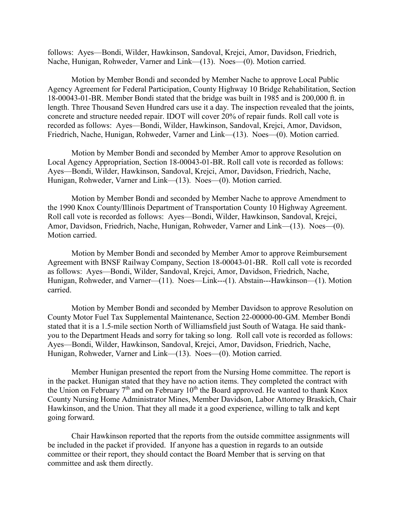follows: Ayes—Bondi, Wilder, Hawkinson, Sandoval, Krejci, Amor, Davidson, Friedrich, Nache, Hunigan, Rohweder, Varner and Link—(13). Noes—(0). Motion carried.

Motion by Member Bondi and seconded by Member Nache to approve Local Public Agency Agreement for Federal Participation, County Highway 10 Bridge Rehabilitation, Section 18-00043-01-BR. Member Bondi stated that the bridge was built in 1985 and is 200,000 ft. in length. Three Thousand Seven Hundred cars use it a day. The inspection revealed that the joints, concrete and structure needed repair. IDOT will cover 20% of repair funds. Roll call vote is recorded as follows: Ayes—Bondi, Wilder, Hawkinson, Sandoval, Krejci, Amor, Davidson, Friedrich, Nache, Hunigan, Rohweder, Varner and Link—(13). Noes—(0). Motion carried.

Motion by Member Bondi and seconded by Member Amor to approve Resolution on Local Agency Appropriation, Section 18-00043-01-BR. Roll call vote is recorded as follows: Ayes—Bondi, Wilder, Hawkinson, Sandoval, Krejci, Amor, Davidson, Friedrich, Nache, Hunigan, Rohweder, Varner and Link—(13). Noes—(0). Motion carried.

Motion by Member Bondi and seconded by Member Nache to approve Amendment to the 1990 Knox County/Illinois Department of Transportation County 10 Highway Agreement. Roll call vote is recorded as follows: Ayes—Bondi, Wilder, Hawkinson, Sandoval, Krejci, Amor, Davidson, Friedrich, Nache, Hunigan, Rohweder, Varner and Link—(13). Noes—(0). Motion carried.

Motion by Member Bondi and seconded by Member Amor to approve Reimbursement Agreement with BNSF Railway Company, Section 18-00043-01-BR. Roll call vote is recorded as follows: Ayes—Bondi, Wilder, Sandoval, Krejci, Amor, Davidson, Friedrich, Nache, Hunigan, Rohweder, and Varner—(11). Noes—Link---(1). Abstain---Hawkinson—(1). Motion carried.

Motion by Member Bondi and seconded by Member Davidson to approve Resolution on County Motor Fuel Tax Supplemental Maintenance, Section 22-00000-00-GM. Member Bondi stated that it is a 1.5-mile section North of Williamsfield just South of Wataga. He said thankyou to the Department Heads and sorry for taking so long. Roll call vote is recorded as follows: Ayes—Bondi, Wilder, Hawkinson, Sandoval, Krejci, Amor, Davidson, Friedrich, Nache, Hunigan, Rohweder, Varner and Link—(13). Noes—(0). Motion carried.

Member Hunigan presented the report from the Nursing Home committee. The report is in the packet. Hunigan stated that they have no action items. They completed the contract with the Union on February  $7<sup>th</sup>$  and on February 10<sup>th</sup> the Board approved. He wanted to thank Knox County Nursing Home Administrator Mines, Member Davidson, Labor Attorney Braskich, Chair Hawkinson, and the Union. That they all made it a good experience, willing to talk and kept going forward.

Chair Hawkinson reported that the reports from the outside committee assignments will be included in the packet if provided. If anyone has a question in regards to an outside committee or their report, they should contact the Board Member that is serving on that committee and ask them directly.